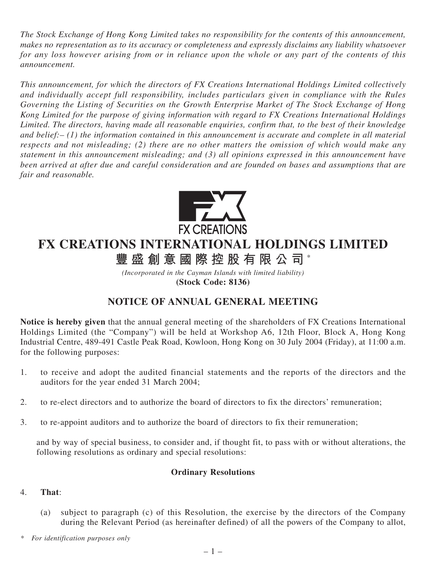*The Stock Exchange of Hong Kong Limited takes no responsibility for the contents of this announcement, makes no representation as to its accuracy or completeness and expressly disclaims any liability whatsoever for any loss however arising from or in reliance upon the whole or any part of the contents of this announcement.*

*This announcement, for which the directors of FX Creations International Holdings Limited collectively and individually accept full responsibility, includes particulars given in compliance with the Rules Governing the Listing of Securities on the Growth Enterprise Market of The Stock Exchange of Hong Kong Limited for the purpose of giving information with regard to FX Creations International Holdings Limited. The directors, having made all reasonable enquiries, confirm that, to the best of their knowledge and belief:– (1) the information contained in this announcement is accurate and complete in all material respects and not misleading; (2) there are no other matters the omission of which would make any statement in this announcement misleading; and (3) all opinions expressed in this announcement have been arrived at after due and careful consideration and are founded on bases and assumptions that are fair and reasonable.*



# **FX CREATIONS INTERNATIONAL HOLDINGS LIMITED**

**豐盛創意國際控股有限公司** \*

*(Incorporated in the Cayman Islands with limited liability)* **(Stock Code: 8136)**

## **NOTICE OF ANNUAL GENERAL MEETING**

**Notice is hereby given** that the annual general meeting of the shareholders of FX Creations International Holdings Limited (the "Company") will be held at Workshop A6, 12th Floor, Block A, Hong Kong Industrial Centre, 489-491 Castle Peak Road, Kowloon, Hong Kong on 30 July 2004 (Friday), at 11:00 a.m. for the following purposes:

- 1. to receive and adopt the audited financial statements and the reports of the directors and the auditors for the year ended 31 March 2004;
- 2. to re-elect directors and to authorize the board of directors to fix the directors' remuneration;
- 3. to re-appoint auditors and to authorize the board of directors to fix their remuneration;

and by way of special business, to consider and, if thought fit, to pass with or without alterations, the following resolutions as ordinary and special resolutions:

### **Ordinary Resolutions**

### 4. **That**:

- (a) subject to paragraph (c) of this Resolution, the exercise by the directors of the Company during the Relevant Period (as hereinafter defined) of all the powers of the Company to allot,
- *\* For identification purposes only*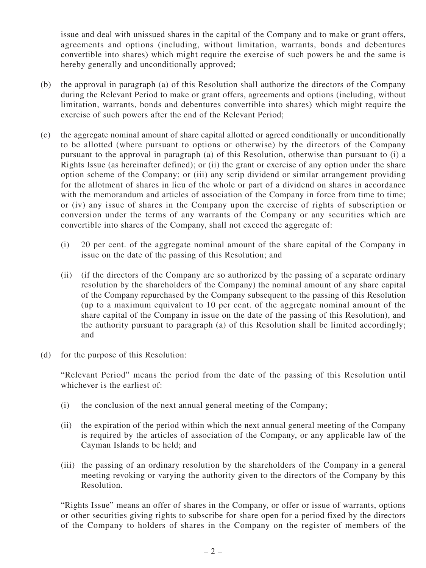issue and deal with unissued shares in the capital of the Company and to make or grant offers, agreements and options (including, without limitation, warrants, bonds and debentures convertible into shares) which might require the exercise of such powers be and the same is hereby generally and unconditionally approved;

- (b) the approval in paragraph (a) of this Resolution shall authorize the directors of the Company during the Relevant Period to make or grant offers, agreements and options (including, without limitation, warrants, bonds and debentures convertible into shares) which might require the exercise of such powers after the end of the Relevant Period;
- (c) the aggregate nominal amount of share capital allotted or agreed conditionally or unconditionally to be allotted (where pursuant to options or otherwise) by the directors of the Company pursuant to the approval in paragraph (a) of this Resolution, otherwise than pursuant to (i) a Rights Issue (as hereinafter defined); or (ii) the grant or exercise of any option under the share option scheme of the Company; or (iii) any scrip dividend or similar arrangement providing for the allotment of shares in lieu of the whole or part of a dividend on shares in accordance with the memorandum and articles of association of the Company in force from time to time; or (iv) any issue of shares in the Company upon the exercise of rights of subscription or conversion under the terms of any warrants of the Company or any securities which are convertible into shares of the Company, shall not exceed the aggregate of:
	- (i) 20 per cent. of the aggregate nominal amount of the share capital of the Company in issue on the date of the passing of this Resolution; and
	- (ii) (if the directors of the Company are so authorized by the passing of a separate ordinary resolution by the shareholders of the Company) the nominal amount of any share capital of the Company repurchased by the Company subsequent to the passing of this Resolution (up to a maximum equivalent to 10 per cent. of the aggregate nominal amount of the share capital of the Company in issue on the date of the passing of this Resolution), and the authority pursuant to paragraph (a) of this Resolution shall be limited accordingly; and
- (d) for the purpose of this Resolution:

"Relevant Period" means the period from the date of the passing of this Resolution until whichever is the earliest of:

- (i) the conclusion of the next annual general meeting of the Company;
- (ii) the expiration of the period within which the next annual general meeting of the Company is required by the articles of association of the Company, or any applicable law of the Cayman Islands to be held; and
- (iii) the passing of an ordinary resolution by the shareholders of the Company in a general meeting revoking or varying the authority given to the directors of the Company by this Resolution.

"Rights Issue" means an offer of shares in the Company, or offer or issue of warrants, options or other securities giving rights to subscribe for share open for a period fixed by the directors of the Company to holders of shares in the Company on the register of members of the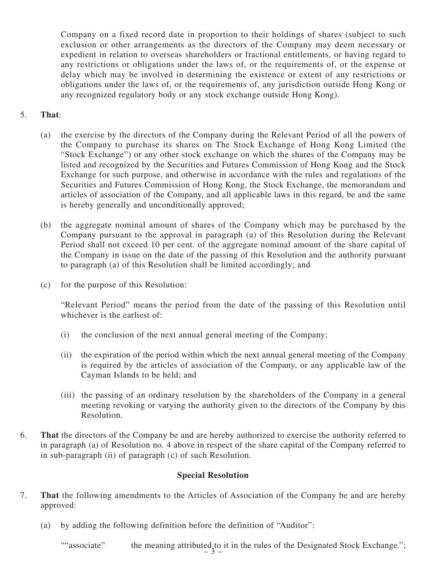Company on a fixed record date in proportion to their holdings of shares (subject to such exclusion or other arrangements as the directors of the Company may deem necessary or expedient in relation to overseas shareholders or fractional entitlements, or having regard to any restrictions or obligations under the laws of, or the requirements of, or the expense or delay which may be involved in determining the existence or extent of any restrictions or obligations under the laws of, or the requirements of, any jurisdiction outside Hong Kong or any recognized regulatory body or any stock exchange outside Hong Kong).

### 5. **That**:

- (a) the exercise by the directors of the Company during the Relevant Period of all the powers of the Company to purchase its shares on The Stock Exchange of Hong Kong Limited (the "Stock Exchange") or any other stock exchange on which the shares of the Company may be listed and recognized by the Securities and Futures Commission of Hong Kong and the Stock Exchange for such purpose, and otherwise in accordance with the rules and regulations of the Securities and Futures Commission of Hong Kong, the Stock Exchange, the memorandum and articles of association of the Company, and all applicable laws in this regard, be and the same is hereby generally and unconditionally approved;
- (b) the aggregate nominal amount of shares of the Company which may be purchased by the Company pursuant to the approval in paragraph (a) of this Resolution during the Relevant Period shall not exceed 10 per cent. of the aggregate nominal amount of the share capital of the Company in issue on the date of the passing of this Resolution and the authority pursuant to paragraph (a) of this Resolution shall be limited accordingly; and
- (c) for the purpose of this Resolution:

"Relevant Period" means the period from the date of the passing of this Resolution until whichever is the earliest of:

- (i) the conclusion of the next annual general meeting of the Company;
- (ii) the expiration of the period within which the next annual general meeting of the Company is required by the articles of association of the Company, or any applicable law of the Cayman Islands to be held; and
- (iii) the passing of an ordinary resolution by the shareholders of the Company in a general meeting revoking or varying the authority given to the directors of the Company by this Resolution.
- 6. **That** the directors of the Company be and are hereby authorized to exercise the authority referred to in paragraph (a) of Resolution no. 4 above in respect of the share capital of the Company referred to in sub-paragraph (ii) of paragraph (c) of such Resolution.

#### **Special Resolution**

- 7. **That** the following amendments to the Articles of Association of the Company be and are hereby approved:
	- (a) by adding the following definition before the definition of "Auditor":

 $-3 -$ ""associate" the meaning attributed to it in the rules of the Designated Stock Exchange.";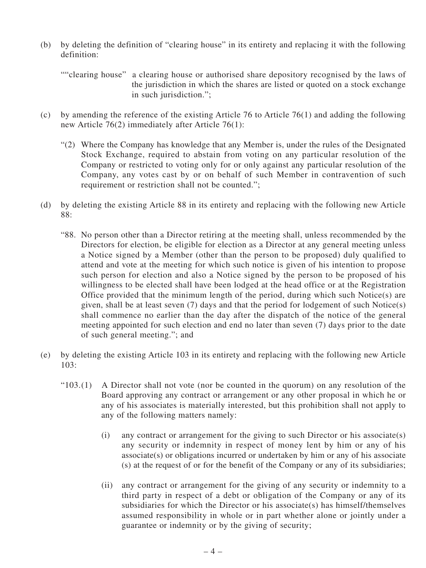(b) by deleting the definition of "clearing house" in its entirety and replacing it with the following definition:

```
""clearing house" a clearing house or authorised share depository recognised by the laws of
       the jurisdiction in which the shares are listed or quoted on a stock exchange
       in such jurisdiction.":
```
- (c) by amending the reference of the existing Article 76 to Article 76(1) and adding the following new Article 76(2) immediately after Article 76(1):
	- "(2) Where the Company has knowledge that any Member is, under the rules of the Designated Stock Exchange, required to abstain from voting on any particular resolution of the Company or restricted to voting only for or only against any particular resolution of the Company, any votes cast by or on behalf of such Member in contravention of such requirement or restriction shall not be counted.";
- (d) by deleting the existing Article 88 in its entirety and replacing with the following new Article 88:
	- "88. No person other than a Director retiring at the meeting shall, unless recommended by the Directors for election, be eligible for election as a Director at any general meeting unless a Notice signed by a Member (other than the person to be proposed) duly qualified to attend and vote at the meeting for which such notice is given of his intention to propose such person for election and also a Notice signed by the person to be proposed of his willingness to be elected shall have been lodged at the head office or at the Registration Office provided that the minimum length of the period, during which such Notice(s) are given, shall be at least seven (7) days and that the period for lodgement of such Notice(s) shall commence no earlier than the day after the dispatch of the notice of the general meeting appointed for such election and end no later than seven (7) days prior to the date of such general meeting."; and
- (e) by deleting the existing Article 103 in its entirety and replacing with the following new Article 103:
	- "103.(1) A Director shall not vote (nor be counted in the quorum) on any resolution of the Board approving any contract or arrangement or any other proposal in which he or any of his associates is materially interested, but this prohibition shall not apply to any of the following matters namely:
		- (i) any contract or arrangement for the giving to such Director or his associate(s) any security or indemnity in respect of money lent by him or any of his associate(s) or obligations incurred or undertaken by him or any of his associate (s) at the request of or for the benefit of the Company or any of its subsidiaries;
		- (ii) any contract or arrangement for the giving of any security or indemnity to a third party in respect of a debt or obligation of the Company or any of its subsidiaries for which the Director or his associate(s) has himself/themselves assumed responsibility in whole or in part whether alone or jointly under a guarantee or indemnity or by the giving of security;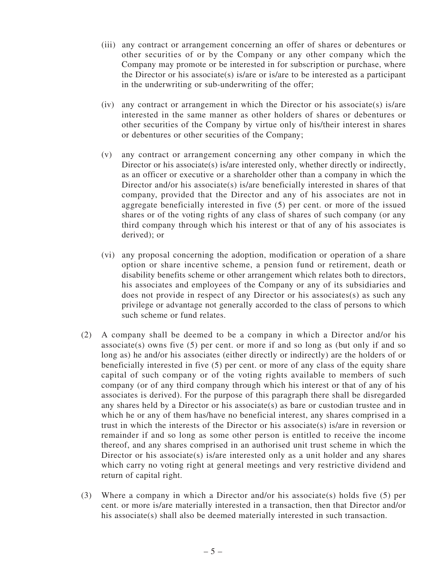- (iii) any contract or arrangement concerning an offer of shares or debentures or other securities of or by the Company or any other company which the Company may promote or be interested in for subscription or purchase, where the Director or his associate(s) is/are or is/are to be interested as a participant in the underwriting or sub-underwriting of the offer;
- (iv) any contract or arrangement in which the Director or his associate(s) is/are interested in the same manner as other holders of shares or debentures or other securities of the Company by virtue only of his/their interest in shares or debentures or other securities of the Company;
- (v) any contract or arrangement concerning any other company in which the Director or his associate(s) is/are interested only, whether directly or indirectly, as an officer or executive or a shareholder other than a company in which the Director and/or his associate(s) is/are beneficially interested in shares of that company, provided that the Director and any of his associates are not in aggregate beneficially interested in five (5) per cent. or more of the issued shares or of the voting rights of any class of shares of such company (or any third company through which his interest or that of any of his associates is derived); or
- (vi) any proposal concerning the adoption, modification or operation of a share option or share incentive scheme, a pension fund or retirement, death or disability benefits scheme or other arrangement which relates both to directors, his associates and employees of the Company or any of its subsidiaries and does not provide in respect of any Director or his associates(s) as such any privilege or advantage not generally accorded to the class of persons to which such scheme or fund relates.
- (2) A company shall be deemed to be a company in which a Director and/or his associate(s) owns five (5) per cent. or more if and so long as (but only if and so long as) he and/or his associates (either directly or indirectly) are the holders of or beneficially interested in five (5) per cent. or more of any class of the equity share capital of such company or of the voting rights available to members of such company (or of any third company through which his interest or that of any of his associates is derived). For the purpose of this paragraph there shall be disregarded any shares held by a Director or his associate(s) as bare or custodian trustee and in which he or any of them has/have no beneficial interest, any shares comprised in a trust in which the interests of the Director or his associate(s) is/are in reversion or remainder if and so long as some other person is entitled to receive the income thereof, and any shares comprised in an authorised unit trust scheme in which the Director or his associate(s) is/are interested only as a unit holder and any shares which carry no voting right at general meetings and very restrictive dividend and return of capital right.
- (3) Where a company in which a Director and/or his associate(s) holds five (5) per cent. or more is/are materially interested in a transaction, then that Director and/or his associate(s) shall also be deemed materially interested in such transaction.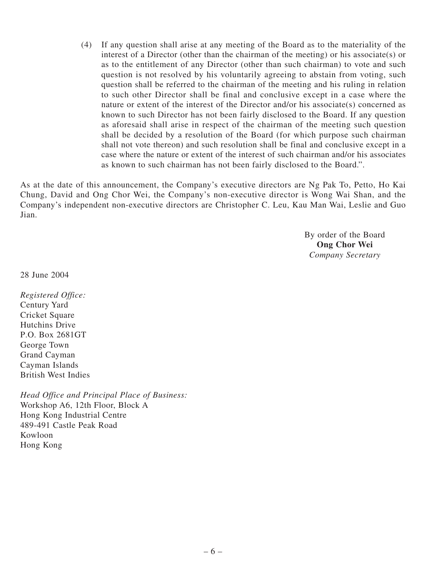(4) If any question shall arise at any meeting of the Board as to the materiality of the interest of a Director (other than the chairman of the meeting) or his associate(s) or as to the entitlement of any Director (other than such chairman) to vote and such question is not resolved by his voluntarily agreeing to abstain from voting, such question shall be referred to the chairman of the meeting and his ruling in relation to such other Director shall be final and conclusive except in a case where the nature or extent of the interest of the Director and/or his associate(s) concerned as known to such Director has not been fairly disclosed to the Board. If any question as aforesaid shall arise in respect of the chairman of the meeting such question shall be decided by a resolution of the Board (for which purpose such chairman shall not vote thereon) and such resolution shall be final and conclusive except in a case where the nature or extent of the interest of such chairman and/or his associates as known to such chairman has not been fairly disclosed to the Board.".

As at the date of this announcement, the Company's executive directors are Ng Pak To, Petto, Ho Kai Chung, David and Ong Chor Wei, the Company's non-executive director is Wong Wai Shan, and the Company's independent non-executive directors are Christopher C. Leu, Kau Man Wai, Leslie and Guo Jian.

> By order of the Board **Ong Chor Wei** *Company Secretary*

28 June 2004

*Registered Office:* Century Yard Cricket Square Hutchins Drive P.O. Box 2681GT George Town Grand Cayman Cayman Islands British West Indies

*Head Office and Principal Place of Business:* Workshop A6, 12th Floor, Block A Hong Kong Industrial Centre 489-491 Castle Peak Road Kowloon Hong Kong